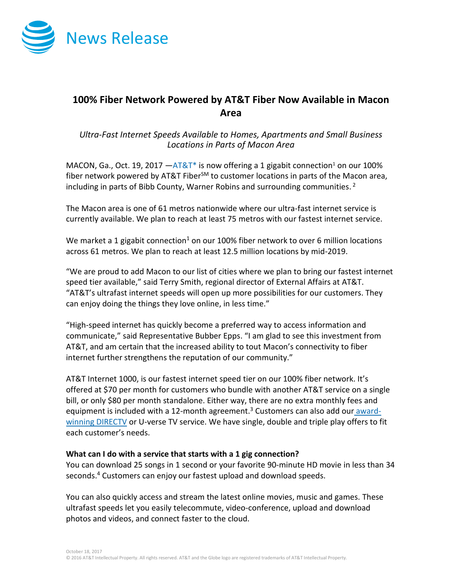

# **100% Fiber Network Powered by AT&T Fiber Now Available in Macon Area**

## *Ultra-Fast Internet Speeds Available to Homes, Apartments and Small Business Locations in Parts of Macon Area*

MACON, Ga., Oct. 19, 2017  $-AT&T^*$  is now offering a 1 gigabit connection<sup>1</sup> on our 100% fiber network powered by AT&T Fiber<sup>SM</sup> to customer locations in parts of the Macon area, including in parts of Bibb County, Warner Robins and surrounding communities.<sup>2</sup>

The Macon area is one of 61 metros nationwide where our ultra-fast internet service is currently available. We plan to reach at least 75 metros with our fastest internet service.

We market a 1 gigabit connection<sup>1</sup> on our 100% fiber network to over 6 million locations across 61 metros. We plan to reach at least 12.5 million locations by mid-2019.

"We are proud to add Macon to our list of cities where we plan to bring our fastest internet speed tier available," said Terry Smith, regional director of External Affairs at AT&T. "AT&T's ultrafast internet speeds will open up more possibilities for our customers. They can enjoy doing the things they love online, in less time."

"High-speed internet has quickly become a preferred way to access information and communicate," said Representative Bubber Epps. "I am glad to see this investment from AT&T, and am certain that the increased ability to tout Macon's connectivity to fiber internet further strengthens the reputation of our community."

AT&T Internet 1000, is our fastest internet speed tier on our 100% fiber network. It's offered at \$70 per month for customers who bundle with another AT&T service on a single bill, or only \$80 per month standalone. Either way, there are no extra monthly fees and equipment is included with a 12-month agreement.<sup>3</sup> Customers can also add our [award](http://www.directv.com/)[winning DIRECTV](http://www.directv.com/) or U-verse TV service. We have single, double and triple play offers to fit each customer's needs.

### **What can I do with a service that starts with a 1 gig connection?**

You can download 25 songs in 1 second or your favorite 90-minute HD movie in less than 34 seconds.<sup>4</sup> Customers can enjoy our fastest upload and download speeds.

You can also quickly access and stream the latest online movies, music and games. These ultrafast speeds let you easily telecommute, video-conference, upload and download photos and videos, and connect faster to the cloud.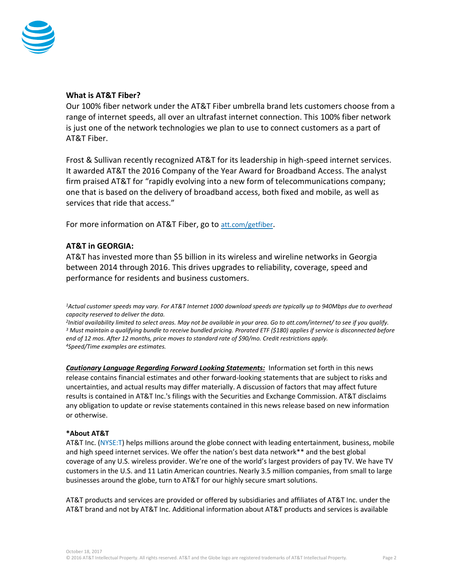

### **What is AT&T Fiber?**

Our 100% fiber network under the AT&T Fiber umbrella brand lets customers choose from a range of internet speeds, all over an ultrafast internet connection. This 100% fiber network is just one of the network technologies we plan to use to connect customers as a part of AT&T Fiber.

Frost & Sullivan recently recognized AT&T for its leadership in high-speed internet services. It awarded AT&T the 2016 Company of the Year Award for Broadband Access. The analyst firm praised AT&T for "rapidly evolving into a new form of telecommunications company; one that is based on the delivery of broadband access, both fixed and mobile, as well as services that ride that access."

For more information on AT&T Fiber, go to [att.com/getfiber](https://www.att.com/internet/gigapowerfiber.html?source=ECtr0000000000GdD&wtExtndSource=getfiber).

### **AT&T in GEORGIA:**

AT&T has invested more than \$5 billion in its wireless and wireline networks in Georgia between 2014 through 2016. This drives upgrades to reliability, coverage, speed and performance for residents and business customers.

*<sup>1</sup>Actual customer speeds may vary. For AT&T Internet 1000 download speeds are typically up to 940Mbps due to overhead capacity reserved to deliver the data.*

 *Initial availability limited to select areas. May not be available in your area. Go to att.com/internet/ to see if you qualify. Must maintain a qualifying bundle to receive bundled pricing. Prorated ETF (\$180) applies if service is disconnected before end of 12 mos. After 12 months, price moves to standard rate of \$90/mo. Credit restrictions apply. Speed/Time examples are estimates.*

*Cautionary Language Regarding Forward Looking Statements:* Information set forth in this news release contains financial estimates and other forward-looking statements that are subject to risks and uncertainties, and actual results may differ materially. A discussion of factors that may affect future results is contained in AT&T Inc.'s filings with the Securities and Exchange Commission. AT&T disclaims any obligation to update or revise statements contained in this news release based on new information or otherwise.

#### **\*About AT&T**

AT&T Inc. [\(NYSE:T\)](http://www.att.com/gen/landing-pages?pid=5718) helps millions around the globe connect with leading entertainment, business, mobile and high speed internet services. We offer the nation's best data network\*\* and the best global coverage of any U.S. wireless provider. We're one of the world's largest providers of pay TV. We have TV customers in the U.S. and 11 Latin American countries. Nearly 3.5 million companies, from small to large businesses around the globe, turn to AT&T for our highly secure smart solutions.

AT&T products and services are provided or offered by subsidiaries and affiliates of AT&T Inc. under the AT&T brand and not by AT&T Inc. Additional information about AT&T products and services is available